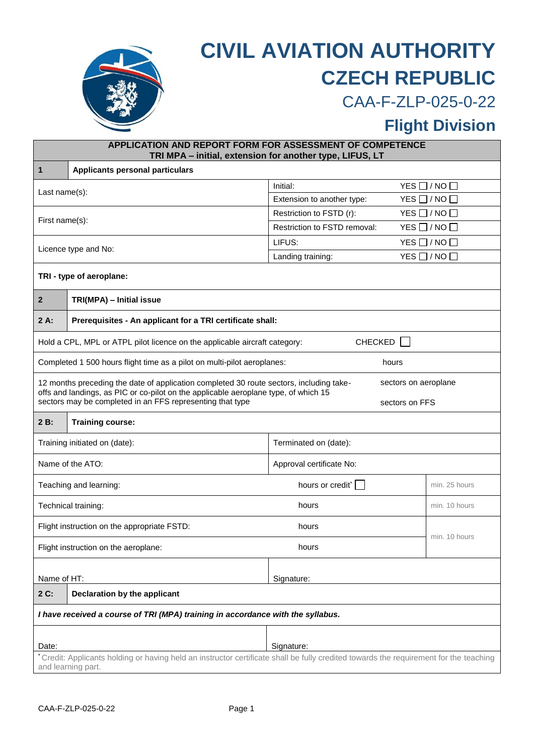

## **CIVIL AVIATION AUTHORITY CZECH REPUBLIC**

CAA-F-ZLP-025-0-22

## **Flight Division**

| APPLICATION AND REPORT FORM FOR ASSESSMENT OF COMPETENCE<br>TRI MPA - initial, extension for another type, LIFUS, LT                                       |                                                                                                                                                                                                        |                              |                          |  |
|------------------------------------------------------------------------------------------------------------------------------------------------------------|--------------------------------------------------------------------------------------------------------------------------------------------------------------------------------------------------------|------------------------------|--------------------------|--|
| $\mathbf{1}$                                                                                                                                               | <b>Applicants personal particulars</b>                                                                                                                                                                 |                              |                          |  |
|                                                                                                                                                            |                                                                                                                                                                                                        | Initial:                     | $YES$ $\Box$ / NO $\Box$ |  |
| Last $name(s)$ :                                                                                                                                           |                                                                                                                                                                                                        | Extension to another type:   | $YES$ $\Box$ / NO $\Box$ |  |
| First name(s):                                                                                                                                             |                                                                                                                                                                                                        | Restriction to FSTD (r):     | $YES$ $\Box$ / NO $\Box$ |  |
|                                                                                                                                                            |                                                                                                                                                                                                        | Restriction to FSTD removal: | $YES$ $\Box$ / NO $\Box$ |  |
| Licence type and No:                                                                                                                                       |                                                                                                                                                                                                        | LIFUS:                       | $YES$ $\Box$ / NO $\Box$ |  |
|                                                                                                                                                            |                                                                                                                                                                                                        | Landing training:            | $YES$ $\Box$ / NO $\Box$ |  |
| TRI - type of aeroplane:                                                                                                                                   |                                                                                                                                                                                                        |                              |                          |  |
| $\mathbf{2}$                                                                                                                                               | TRI(MPA) - Initial issue                                                                                                                                                                               |                              |                          |  |
| $2A$ :                                                                                                                                                     | Prerequisites - An applicant for a TRI certificate shall:                                                                                                                                              |                              |                          |  |
| Hold a CPL, MPL or ATPL pilot licence on the applicable aircraft category:<br><b>CHECKED</b>                                                               |                                                                                                                                                                                                        |                              |                          |  |
| Completed 1 500 hours flight time as a pilot on multi-pilot aeroplanes:<br>hours                                                                           |                                                                                                                                                                                                        |                              |                          |  |
|                                                                                                                                                            | 12 months preceding the date of application completed 30 route sectors, including take-<br>sectors on aeroplane<br>offs and landings, as PIC or co-pilot on the applicable aeroplane type, of which 15 |                              |                          |  |
|                                                                                                                                                            | sectors may be completed in an FFS representing that type                                                                                                                                              | sectors on FFS               |                          |  |
| $2B$ :                                                                                                                                                     | <b>Training course:</b>                                                                                                                                                                                |                              |                          |  |
|                                                                                                                                                            | Training initiated on (date):<br>Terminated on (date):                                                                                                                                                 |                              |                          |  |
| Name of the ATO:<br>Approval certificate No:                                                                                                               |                                                                                                                                                                                                        |                              |                          |  |
| hours or credit <sup>*</sup><br>Teaching and learning:<br>min. 25 hours                                                                                    |                                                                                                                                                                                                        |                              |                          |  |
| Technical training:<br>hours<br>min. 10 hours                                                                                                              |                                                                                                                                                                                                        |                              |                          |  |
| Flight instruction on the appropriate FSTD:<br>hours                                                                                                       |                                                                                                                                                                                                        |                              |                          |  |
|                                                                                                                                                            | min. 10 hours<br>Flight instruction on the aeroplane:<br>hours                                                                                                                                         |                              |                          |  |
|                                                                                                                                                            | Name of HT:<br>Signature:                                                                                                                                                                              |                              |                          |  |
| $2C$ :                                                                                                                                                     | Declaration by the applicant                                                                                                                                                                           |                              |                          |  |
| I have received a course of TRI (MPA) training in accordance with the syllabus.                                                                            |                                                                                                                                                                                                        |                              |                          |  |
|                                                                                                                                                            |                                                                                                                                                                                                        |                              |                          |  |
| Date:<br>Signature:                                                                                                                                        |                                                                                                                                                                                                        |                              |                          |  |
| Credit: Applicants holding or having held an instructor certificate shall be fully credited towards the requirement for the teaching<br>and learning part. |                                                                                                                                                                                                        |                              |                          |  |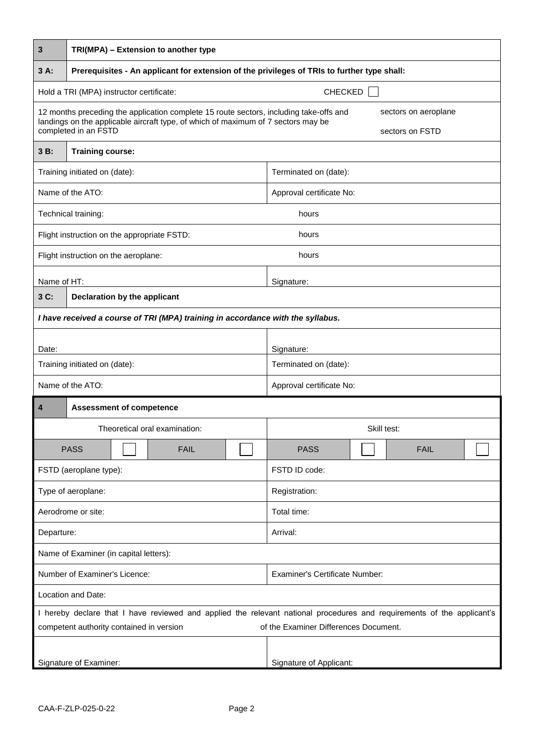| 3                                                                                                                                                                                                   | TRI(MPA) - Extension to another type                                                        |                                         |  |  |
|-----------------------------------------------------------------------------------------------------------------------------------------------------------------------------------------------------|---------------------------------------------------------------------------------------------|-----------------------------------------|--|--|
| $3A$ :                                                                                                                                                                                              | Prerequisites - An applicant for extension of the privileges of TRIs to further type shall: |                                         |  |  |
|                                                                                                                                                                                                     | CHECKED<br>Hold a TRI (MPA) instructor certificate:                                         |                                         |  |  |
| 12 months preceding the application complete 15 route sectors, including take-offs and<br>landings on the applicable aircraft type, of which of maximum of 7 sectors may be<br>completed in an FSTD |                                                                                             | sectors on aeroplane<br>sectors on FSTD |  |  |
| $3B$ :                                                                                                                                                                                              | <b>Training course:</b>                                                                     |                                         |  |  |
|                                                                                                                                                                                                     | Training initiated on (date):                                                               | Terminated on (date):                   |  |  |
|                                                                                                                                                                                                     | Name of the ATO:                                                                            | Approval certificate No:                |  |  |
|                                                                                                                                                                                                     | Technical training:                                                                         | hours                                   |  |  |
|                                                                                                                                                                                                     | Flight instruction on the appropriate FSTD:                                                 | hours                                   |  |  |
|                                                                                                                                                                                                     | Flight instruction on the aeroplane:                                                        | hours                                   |  |  |
| Name of HT:                                                                                                                                                                                         | Signature:                                                                                  |                                         |  |  |
| 3 C:                                                                                                                                                                                                | Declaration by the applicant                                                                |                                         |  |  |
|                                                                                                                                                                                                     | I have received a course of TRI (MPA) training in accordance with the syllabus.             |                                         |  |  |
| Date:                                                                                                                                                                                               |                                                                                             | Signature:                              |  |  |
|                                                                                                                                                                                                     | Training initiated on (date):                                                               | Terminated on (date):                   |  |  |
|                                                                                                                                                                                                     | Name of the ATO:                                                                            | Approval certificate No:                |  |  |
| 4                                                                                                                                                                                                   | <b>Assessment of competence</b>                                                             |                                         |  |  |
|                                                                                                                                                                                                     | Theoretical oral examination:                                                               | Skill test:                             |  |  |
|                                                                                                                                                                                                     | <b>PASS</b><br><b>FAIL</b>                                                                  | <b>PASS</b><br><b>FAIL</b>              |  |  |
|                                                                                                                                                                                                     | FSTD (aeroplane type):                                                                      | FSTD ID code:                           |  |  |
|                                                                                                                                                                                                     | Type of aeroplane:                                                                          | Registration:                           |  |  |
| Aerodrome or site:                                                                                                                                                                                  |                                                                                             | Total time:                             |  |  |
| Departure:                                                                                                                                                                                          |                                                                                             | Arrival:                                |  |  |
| Name of Examiner (in capital letters):                                                                                                                                                              |                                                                                             |                                         |  |  |
| Number of Examiner's Licence:                                                                                                                                                                       |                                                                                             | <b>Examiner's Certificate Number:</b>   |  |  |
| Location and Date:                                                                                                                                                                                  |                                                                                             |                                         |  |  |
| I hereby declare that I have reviewed and applied the relevant national procedures and requirements of the applicant's                                                                              |                                                                                             |                                         |  |  |
| of the Examiner Differences Document.<br>competent authority contained in version                                                                                                                   |                                                                                             |                                         |  |  |
| Signature of Examiner:                                                                                                                                                                              |                                                                                             | Signature of Applicant:                 |  |  |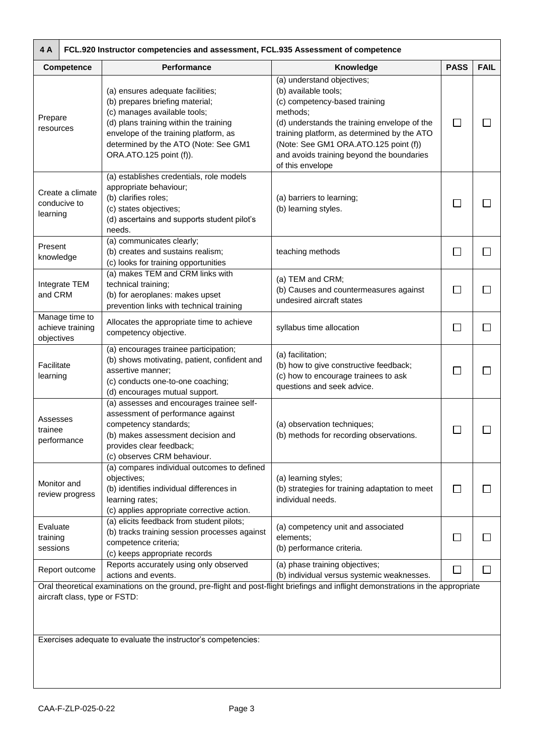| 4 A<br>FCL.920 Instructor competencies and assessment, FCL.935 Assessment of competence |                                    |                                                                                                                                                                                                                                                           |                                                                                                                                                                                                                                                                                                          |              |              |
|-----------------------------------------------------------------------------------------|------------------------------------|-----------------------------------------------------------------------------------------------------------------------------------------------------------------------------------------------------------------------------------------------------------|----------------------------------------------------------------------------------------------------------------------------------------------------------------------------------------------------------------------------------------------------------------------------------------------------------|--------------|--------------|
|                                                                                         | Competence                         | Performance                                                                                                                                                                                                                                               | Knowledge                                                                                                                                                                                                                                                                                                | <b>PASS</b>  | <b>FAIL</b>  |
| Prepare<br>resources                                                                    |                                    | (a) ensures adequate facilities;<br>(b) prepares briefing material;<br>(c) manages available tools;<br>(d) plans training within the training<br>envelope of the training platform, as<br>determined by the ATO (Note: See GM1<br>ORA.ATO.125 point (f)). | (a) understand objectives;<br>(b) available tools;<br>(c) competency-based training<br>methods;<br>(d) understands the training envelope of the<br>training platform, as determined by the ATO<br>(Note: See GM1 ORA.ATO.125 point (f))<br>and avoids training beyond the boundaries<br>of this envelope | $\Box$       |              |
| learning                                                                                | Create a climate<br>conducive to   | (a) establishes credentials, role models<br>appropriate behaviour;<br>(b) clarifies roles;<br>(c) states objectives;<br>(d) ascertains and supports student pilot's<br>needs.                                                                             | (a) barriers to learning;<br>(b) learning styles.                                                                                                                                                                                                                                                        | $\Box$       |              |
| Present<br>knowledge                                                                    |                                    | (a) communicates clearly;<br>(b) creates and sustains realism;<br>(c) looks for training opportunities                                                                                                                                                    | teaching methods                                                                                                                                                                                                                                                                                         | $\Box$       |              |
| and CRM                                                                                 | Integrate TEM                      | (a) makes TEM and CRM links with<br>technical training;<br>(b) for aeroplanes: makes upset<br>prevention links with technical training                                                                                                                    | (a) TEM and CRM;<br>(b) Causes and countermeasures against<br>undesired aircraft states                                                                                                                                                                                                                  | □            |              |
| objectives                                                                              | Manage time to<br>achieve training | Allocates the appropriate time to achieve<br>competency objective.                                                                                                                                                                                        | syllabus time allocation                                                                                                                                                                                                                                                                                 | $\Box$       |              |
| Facilitate<br>learning                                                                  |                                    | (a) encourages trainee participation;<br>(b) shows motivating, patient, confident and<br>assertive manner;<br>(c) conducts one-to-one coaching;<br>(d) encourages mutual support.                                                                         | (a) facilitation;<br>(b) how to give constructive feedback;<br>(c) how to encourage trainees to ask<br>questions and seek advice.                                                                                                                                                                        | $\Box$       |              |
| Assesses<br>trainee                                                                     | performance                        | (a) assesses and encourages trainee self-<br>assessment of performance against<br>competency standards;<br>(b) makes assessment decision and<br>provides clear feedback;<br>(c) observes CRM behaviour.                                                   | (a) observation techniques;<br>(b) methods for recording observations.                                                                                                                                                                                                                                   | $\mathsf{L}$ |              |
|                                                                                         | Monitor and<br>review progress     | (a) compares individual outcomes to defined<br>objectives;<br>(b) identifies individual differences in<br>learning rates;<br>(c) applies appropriate corrective action.                                                                                   | (a) learning styles;<br>(b) strategies for training adaptation to meet<br>individual needs.                                                                                                                                                                                                              | $\Box$       |              |
| Evaluate<br>training<br>sessions                                                        |                                    | (a) elicits feedback from student pilots;<br>(b) tracks training session processes against<br>competence criteria;<br>(c) keeps appropriate records                                                                                                       | (a) competency unit and associated<br>elements;<br>(b) performance criteria.                                                                                                                                                                                                                             | □            |              |
|                                                                                         | Report outcome                     | Reports accurately using only observed<br>actions and events.                                                                                                                                                                                             | (a) phase training objectives;<br>(b) individual versus systemic weaknesses.                                                                                                                                                                                                                             | $\mathsf{L}$ | $\mathsf{L}$ |
|                                                                                         | aircraft class, type or FSTD:      | Oral theoretical examinations on the ground, pre-flight and post-flight briefings and inflight demonstrations in the appropriate<br>Exercises adequate to evaluate the instructor's competencies:                                                         |                                                                                                                                                                                                                                                                                                          |              |              |
|                                                                                         |                                    |                                                                                                                                                                                                                                                           |                                                                                                                                                                                                                                                                                                          |              |              |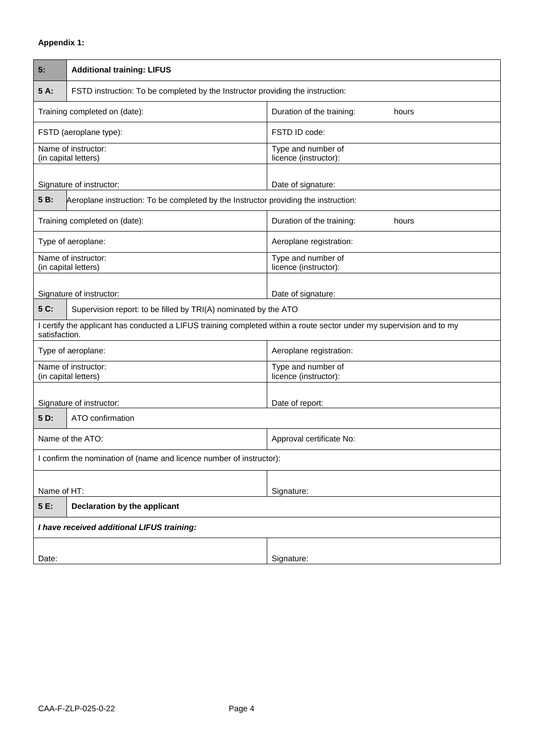## **Appendix 1:**

| 5:                                                                                                                                     |                                                                                     |                                             |  |
|----------------------------------------------------------------------------------------------------------------------------------------|-------------------------------------------------------------------------------------|---------------------------------------------|--|
|                                                                                                                                        | <b>Additional training: LIFUS</b>                                                   |                                             |  |
| 5 A:                                                                                                                                   | FSTD instruction: To be completed by the Instructor providing the instruction:      |                                             |  |
|                                                                                                                                        | Training completed on (date):                                                       | Duration of the training:<br>hours          |  |
| FSTD (aeroplane type):                                                                                                                 |                                                                                     | FSTD ID code:                               |  |
| Name of instructor:<br>(in capital letters)                                                                                            |                                                                                     | Type and number of<br>licence (instructor): |  |
|                                                                                                                                        | Signature of instructor:<br>Date of signature:                                      |                                             |  |
| 5 B:                                                                                                                                   | Aeroplane instruction: To be completed by the Instructor providing the instruction: |                                             |  |
| Training completed on (date):                                                                                                          |                                                                                     | Duration of the training:<br>hours          |  |
|                                                                                                                                        | Type of aeroplane:                                                                  | Aeroplane registration:                     |  |
| Name of instructor:<br>(in capital letters)                                                                                            |                                                                                     | Type and number of<br>licence (instructor): |  |
|                                                                                                                                        | Signature of instructor:                                                            |                                             |  |
| 5 C:                                                                                                                                   | Supervision report: to be filled by TRI(A) nominated by the ATO                     | Date of signature:                          |  |
| I certify the applicant has conducted a LIFUS training completed within a route sector under my supervision and to my<br>satisfaction. |                                                                                     |                                             |  |
| Type of aeroplane:                                                                                                                     |                                                                                     | Aeroplane registration:                     |  |
| Name of instructor:<br>(in capital letters)                                                                                            |                                                                                     | Type and number of<br>licence (instructor): |  |
|                                                                                                                                        |                                                                                     |                                             |  |
| 5 D:                                                                                                                                   | Signature of instructor:<br>Date of report:<br>ATO confirmation                     |                                             |  |
| Name of the ATO:<br>Approval certificate No:                                                                                           |                                                                                     |                                             |  |
| I confirm the nomination of (name and licence number of instructor):                                                                   |                                                                                     |                                             |  |
|                                                                                                                                        |                                                                                     |                                             |  |
| Name of HT:                                                                                                                            |                                                                                     | Signature:                                  |  |
| 5 E:<br>Declaration by the applicant                                                                                                   |                                                                                     |                                             |  |
| I have received additional LIFUS training:                                                                                             |                                                                                     |                                             |  |
|                                                                                                                                        |                                                                                     |                                             |  |
| Date:                                                                                                                                  |                                                                                     | Signature:                                  |  |